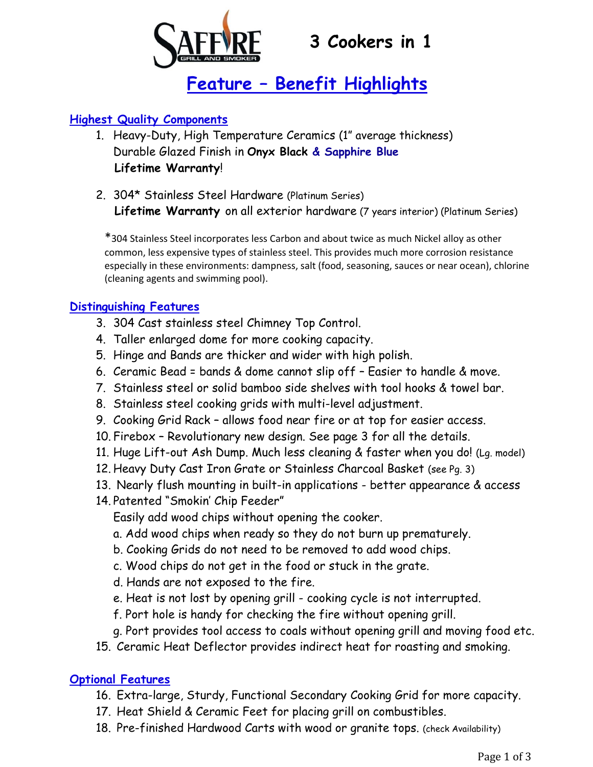

# **Feature – Benefit Highlights**

### **Highest Quality Components**

- 1. Heavy-Duty, High Temperature Ceramics (1" average thickness) Durable Glazed Finish in **Onyx Black & Sapphire Blue Lifetime Warranty**!
- 2. 304\* Stainless Steel Hardware (Platinum Series)  **Lifetime Warranty** on all exterior hardware (7 years interior) (Platinum Series)

\*304 Stainless Steel incorporates less Carbon and about twice as much Nickel alloy as other common, less expensive types of stainless steel. This provides much more corrosion resistance especially in these environments: dampness, salt (food, seasoning, sauces or near ocean), chlorine (cleaning agents and swimming pool).

#### **Distinguishing Features**

- 3. 304 Cast stainless steel Chimney Top Control.
- 4. Taller enlarged dome for more cooking capacity.
- 5. Hinge and Bands are thicker and wider with high polish.
- 6. Ceramic Bead = bands & dome cannot slip off Easier to handle & move.
- 7. Stainless steel or solid bamboo side shelves with tool hooks & towel bar.
- 8. Stainless steel cooking grids with multi-level adjustment.
- 9. Cooking Grid Rack allows food near fire or at top for easier access.
- 10. Firebox Revolutionary new design. See page 3 for all the details.
- 11. Huge Lift-out Ash Dump. Much less cleaning & faster when you do! (Lg. model)
- 12. Heavy Duty Cast Iron Grate or Stainless Charcoal Basket (see Pg. 3)
- 13. Nearly flush mounting in built-in applications better appearance & access
- 14. Patented "Smokin' Chip Feeder"

Easily add wood chips without opening the cooker.

- a. Add wood chips when ready so they do not burn up prematurely.
- b. Cooking Grids do not need to be removed to add wood chips.
- c. Wood chips do not get in the food or stuck in the grate.
- d. Hands are not exposed to the fire.
- e. Heat is not lost by opening grill cooking cycle is not interrupted.
- f. Port hole is handy for checking the fire without opening grill.
- g. Port provides tool access to coals without opening grill and moving food etc.
- 15. Ceramic Heat Deflector provides indirect heat for roasting and smoking.

#### **Optional Features**

- 16. Extra-large, Sturdy, Functional Secondary Cooking Grid for more capacity.
- 17. Heat Shield & Ceramic Feet for placing grill on combustibles.
- 18. Pre-finished Hardwood Carts with wood or granite tops. (check Availability)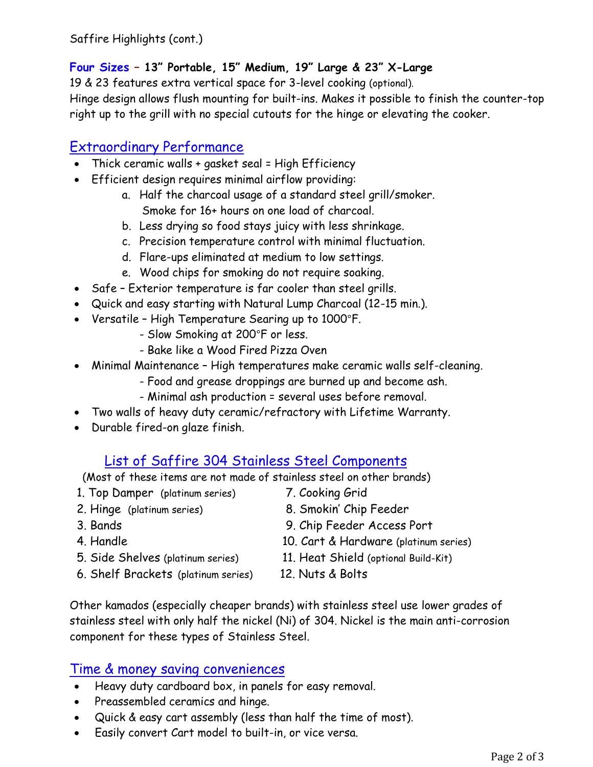Saffire Highlights (cont.)

### **Four Sizes – 13" Portable, 15" Medium, 19" Large & 23" X-Large**

19 & 23 features extra vertical space for 3-level cooking (optional). Hinge design allows flush mounting for built-ins. Makes it possible to finish the counter-top right up to the grill with no special cutouts for the hinge or elevating the cooker.

## Extraordinary Performance

- Thick ceramic walls + gasket seal = High Efficiency
- Efficient design requires minimal airflow providing:
	- a. Half the charcoal usage of a standard steel grill/smoker. Smoke for 16+ hours on one load of charcoal.
	- b. Less drying so food stays juicy with less shrinkage.
	- c. Precision temperature control with minimal fluctuation.
	- d. Flare-ups eliminated at medium to low settings.
	- e. Wood chips for smoking do not require soaking.
- Safe Exterior temperature is far cooler than steel grills.
- Quick and easy starting with Natural Lump Charcoal (12-15 min.).
- Versatile High Temperature Searing up to 1000°F.
	- Slow Smoking at 200°F or less.
	- Bake like a Wood Fired Pizza Oven
- Minimal Maintenance High temperatures make ceramic walls self-cleaning.
	- Food and grease droppings are burned up and become ash.
	- Minimal ash production = several uses before removal.
- Two walls of heavy duty ceramic/refractory with Lifetime Warranty.
- Durable fired-on glaze finish.

# List of Saffire 304 Stainless Steel Components

(Most of these items are not made of stainless steel on other brands)

- 1. Top Damper (platinum series) 7. Cooking Grid
- 2. Hinge (platinum series) 8. Smokin' Chip Feeder
- 
- 
- 
- 6. Shelf Brackets (platinum series) 12. Nuts & Bolts
- 
- 
- 3. Bands 9. Chip Feeder Access Port
- 4. Handle 10. Cart & Hardware (platinum series)
- 5. Side Shelves (platinum series) 11. Heat Shield (optional Build-Kit)
	-

Other kamados (especially cheaper brands) with stainless steel use lower grades of stainless steel with only half the nickel (Ni) of 304. Nickel is the main anti-corrosion component for these types of Stainless Steel.

## Time & money saving conveniences

- Heavy duty cardboard box, in panels for easy removal.
- Preassembled ceramics and hinge.
- Quick & easy cart assembly (less than half the time of most).
- Easily convert Cart model to built-in, or vice versa.